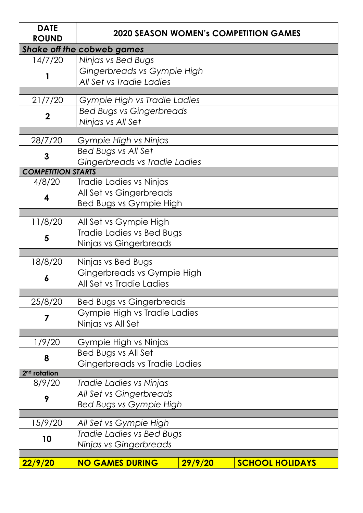| <b>DATE</b><br><b>ROUND</b>                                |                                 |         | <b>2020 SEASON WOMEN's COMPETITION GAMES</b> |  |
|------------------------------------------------------------|---------------------------------|---------|----------------------------------------------|--|
| <b>Shake off the cobweb games</b>                          |                                 |         |                                              |  |
| 14/7/20                                                    | Ninjas vs Bed Bugs              |         |                                              |  |
|                                                            | Gingerbreads vs Gympie High     |         |                                              |  |
|                                                            | All Set vs Tradie Ladies        |         |                                              |  |
|                                                            |                                 |         |                                              |  |
| 21/7/20                                                    | Gympie High vs Tradie Ladies    |         |                                              |  |
| $\mathbf 2$                                                | <b>Bed Bugs vs Gingerbreads</b> |         |                                              |  |
|                                                            | Ninjas vs All Set               |         |                                              |  |
|                                                            |                                 |         |                                              |  |
| 28/7/20                                                    | Gympie High vs Ninjas           |         |                                              |  |
| 3                                                          | Bed Bugs vs All Set             |         |                                              |  |
| Gingerbreads vs Tradie Ladies<br><b>COMPETITION STARTS</b> |                                 |         |                                              |  |
| 4/8/20                                                     | Tradie Ladies vs Ninjas         |         |                                              |  |
|                                                            |                                 |         |                                              |  |
| 4                                                          | All Set vs Gingerbreads         |         |                                              |  |
|                                                            | Bed Bugs vs Gympie High         |         |                                              |  |
| 11/8/20                                                    | All Set vs Gympie High          |         |                                              |  |
|                                                            | Tradie Ladies vs Bed Bugs       |         |                                              |  |
| 5                                                          | Ninjas vs Gingerbreads          |         |                                              |  |
|                                                            |                                 |         |                                              |  |
| 18/8/20                                                    | Ninjas vs Bed Bugs              |         |                                              |  |
| 6                                                          | Gingerbreads vs Gympie High     |         |                                              |  |
|                                                            | All Set vs Tradie Ladies        |         |                                              |  |
|                                                            |                                 |         |                                              |  |
| 25/8/20                                                    | <b>Bed Bugs vs Gingerbreads</b> |         |                                              |  |
| 7                                                          | Gympie High vs Tradie Ladies    |         |                                              |  |
|                                                            | Ninjas vs All Set               |         |                                              |  |
| 1/9/20                                                     | Gympie High vs Ninjas           |         |                                              |  |
|                                                            | Bed Bugs vs All Set             |         |                                              |  |
| 8                                                          | Gingerbreads vs Tradie Ladies   |         |                                              |  |
| 2 <sup>nd</sup> rotation                                   |                                 |         |                                              |  |
| 8/9/20                                                     | Tradie Ladies vs Ninjas         |         |                                              |  |
|                                                            | All Set vs Gingerbreads         |         |                                              |  |
| 9                                                          | Bed Bugs vs Gympie High         |         |                                              |  |
|                                                            |                                 |         |                                              |  |
| 15/9/20                                                    | All Set vs Gympie High          |         |                                              |  |
| 10                                                         | Tradie Ladies vs Bed Bugs       |         |                                              |  |
|                                                            | Ninjas vs Gingerbreads          |         |                                              |  |
|                                                            |                                 |         |                                              |  |
| 22/9/20                                                    | <b>NO GAMES DURING</b>          | 29/9/20 | <b>SCHOOL HOLIDAYS</b>                       |  |